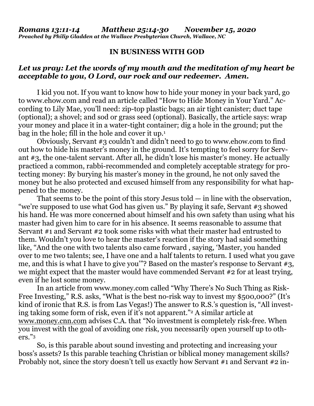## **IN BUSINESS WITH GOD**

## *Let us pray: Let the words of my mouth and the meditation of my heart be acceptable to you, O Lord, our rock and our redeemer. Amen.*

I kid you not. If you want to know how to hide your money in your back yard, go to [www.ehow.com](http://www.ehow.com/) and read an article called "How to Hide Money in Your Yard." According to Lily Mae, you'll need: zip-top plastic bags; an air tight canister; duct tape (optional); a shovel; and sod or grass seed (optional). Basically, the article says: wrap your money and place it in a water-tight container; dig a hole in the ground; put the bag in the hole; fill in the hole and cover it up.<sup>1</sup>

Obviously, Servant #3 couldn't and didn't need to go to [www.ehow.com](http://www.ehow.com/) to find out how to hide his master's money in the ground. It's tempting to feel sorry for Servant #3, the one-talent servant. After all, he didn't lose his master's money. He actually practiced a common, rabbi-recommended and completely acceptable strategy for protecting money: By burying his master's money in the ground, he not only saved the money but he also protected and excused himself from any responsibility for what happened to the money.

That seems to be the point of this story Jesus told  $-$  in line with the observation, "we're supposed to use what God has given us." By playing it safe, Servant #3 showed his hand. He was more concerned about himself and his own safety than using what his master had given him to care for in his absence. It seems reasonable to assume that Servant #1 and Servant #2 took some risks with what their master had entrusted to them. Wouldn't you love to hear the master's reaction if the story had said something like, "And the one with two talents also came forward , saying, 'Master, you handed over to me two talents; see, I have one and a half talents to return. I used what you gave me, and this is what I have to give you'"? Based on the master's response to Servant #3, we might expect that the master would have commended Servant  $#2$  for at least trying, even if he lost some money.

In an article from [www.money.com](http://www.money.com/) called "Why There's No Such Thing as Risk-Free Investing," R.S. asks, "What is the best no-risk way to invest my \$500,000?" (It's kind of ironic that R.S. is from Las Vegas!) The answer to R.S.'s question is, "All investing taking some form of risk, even if it's not apparent."<sup>2</sup> A similar article at [www.money.cnn.com](http://www.money.cnn.com/) advises C.A. that "No investment is completely risk-free. When you invest with the goal of avoiding one risk, you necessarily open yourself up to others."<sup>3</sup>

So, is this parable about sound investing and protecting and increasing your boss's assets? Is this parable teaching Christian or biblical money management skills? Probably not, since the story doesn't tell us exactly how Servant #1 and Servant #2 in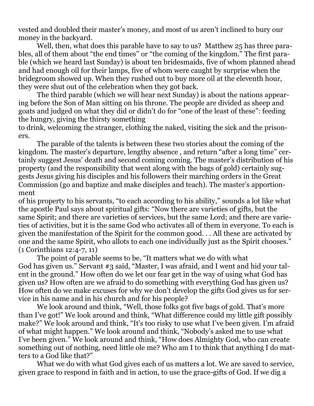vested and doubled their master's money, and most of us aren't inclined to bury our money in the backyard.

Well, then, what does this parable have to say to us? Matthew 25 has three parables, all of them about "the end times" or "the coming of the kingdom." The first parable (which we heard last Sunday) is about ten bridesmaids, five of whom planned ahead and had enough oil for their lamps, five of whom were caught by surprise when the bridegroom showed up. When they rushed out to buy more oil at the eleventh hour, they were shut out of the celebration when they got back.

The third parable (which we will hear next Sunday) is about the nations appearing before the Son of Man sitting on his throne. The people are divided as sheep and goats and judged on what they did or didn't do for "one of the least of these": feeding the hungry, giving the thirsty something

to drink, welcoming the stranger, clothing the naked, visiting the sick and the prisoners.

The parable of the talents is between these two stories about the coming of the kingdom. The master's departure, lengthy absence , and return "after a long time" certainly suggest Jesus' death and second coming coming. The master's distribution of his property (and the responsibility that went along with the bags of gold) certainly suggests Jesus giving his disciples and his followers their marching orders in the Great Commission (go and baptize and make disciples and teach). The master's apportionment

of his property to his servants, "to each according to his ability," sounds a lot like what the apostle Paul says about spiritual gifts: "Now there are varieties of gifts, but the same Spirit; and there are varieties of services, but the same Lord; and there are varieties of activities, but it is the same God who activates all of them in everyone. To each is given the manifestation of the Spirit for the common good. . . All these are activated by one and the same Spirit, who allots to each one individually just as the Spirit chooses." (1 Corinthians 12:4-7, 11)

The point of parable seems to be, "It matters what we do with what God has given us." Servant #3 said, "Master, I was afraid, and I went and hid your talent in the ground." How often do we let our fear get in the way of using what God has given us? How often are we afraid to do something with everything God has given us? How often do we make excuses for why we don't develop the gifts God gives us for service in his name and in his church and for his people?

We look around and think, "Well, those folks got five bags of gold. That's more than I've got!" We look around and think, "What difference could my little gift possibly make?" We look around and think, "It's too risky to use what I've been given. I'm afraid of what might happen." We look around and think, "Nobody's asked me to use what I've been given." We look around and think, "How does Almighty God, who can create something out of nothing, need little ole me? Who am I to think that anything I do matters to a God like that?"

What we do with what God gives each of us matters a lot. We are saved to service, given grace to respond in faith and in action, to use the grace-gifts of God. If we dig a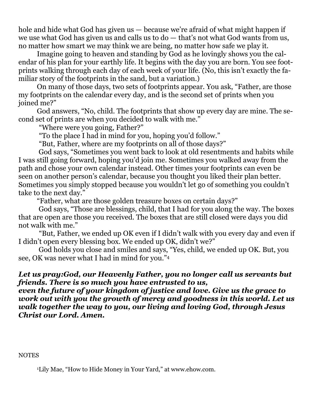hole and hide what God has given us — because we're afraid of what might happen if we use what God has given us and calls us to do — that's not what God wants from us, no matter how smart we may think we are being, no matter how safe we play it.

Imagine going to heaven and standing by God as he lovingly shows you the calendar of his plan for your earthly life. It begins with the day you are born. You see footprints walking through each day of each week of your life. (No, this isn't exactly the familiar story of the footprints in the sand, but a variation.)

On many of those days, two sets of footprints appear. You ask, "Father, are those my footprints on the calendar every day, and is the second set of prints when you joined me?"

God answers, "No, child. The footprints that show up every day are mine. The second set of prints are when you decided to walk with me."

"Where were you going, Father?"

"To the place I had in mind for you, hoping you'd follow."

"But, Father, where are my footprints on all of those days?"

God says, "Sometimes you went back to look at old resentments and habits while I was still going forward, hoping you'd join me. Sometimes you walked away from the path and chose your own calendar instead. Other times your footprints can even be seen on another person's calendar, because you thought you liked their plan better. Sometimes you simply stopped because you wouldn't let go of something you couldn't take to the next day."

"Father, what are those golden treasure boxes on certain days?"

God says, "Those are blessings, child, that I had for you along the way. The boxes that are open are those you received. The boxes that are still closed were days you did not walk with me."

"But, Father, we ended up OK even if I didn't walk with you every day and even if I didn't open every blessing box. We ended up OK, didn't we?"

God holds you close and smiles and says, "Yes, child, we ended up OK. But, you see, OK was never what I had in mind for you." 4

## *Let us pray:God, our Heavenly Father, you no longer call us servants but friends. There is so much you have entrusted to us,*

*even the future of your kingdom of justice and love. Give us the grace to work out with you the growth of mercy and goodness in this world. Let us walk together the way to you, our living and loving God, through Jesus Christ our Lord. Amen.*

**NOTES** 

<sup>1</sup>Lily Mae, "How to Hide Money in Your Yard," at [www.ehow.com.](http://www.ehow.com/)